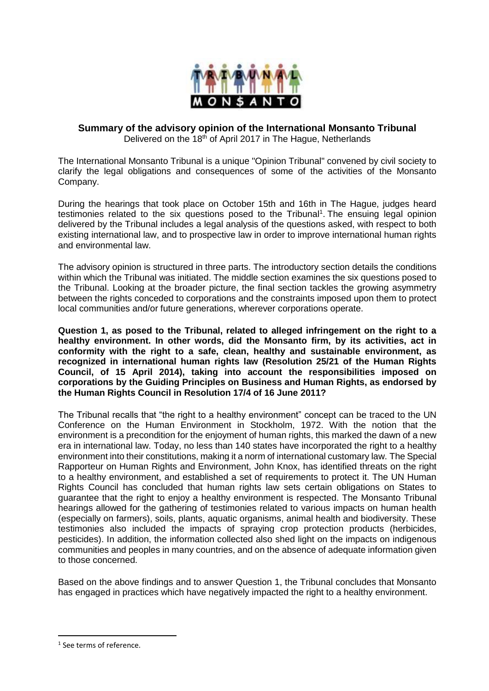

# **Summary of the advisory opinion of the International Monsanto Tribunal** Delivered on the 18<sup>th</sup> of April 2017 in The Hague, Netherlands

The International Monsanto Tribunal is a unique "Opinion Tribunal" convened by civil society to clarify the legal obligations and consequences of some of the activities of the Monsanto Company.

During the hearings that took place on October 15th and 16th in The Hague, judges heard testimonies related to the six questions posed to the Tribunal<sup>1</sup>. The ensuing legal opinion delivered by the Tribunal includes a legal analysis of the questions asked, with respect to both existing international law, and to prospective law in order to improve international human rights and environmental law.

The advisory opinion is structured in three parts. The introductory section details the conditions within which the Tribunal was initiated. The middle section examines the six questions posed to the Tribunal. Looking at the broader picture, the final section tackles the growing asymmetry between the rights conceded to corporations and the constraints imposed upon them to protect local communities and/or future generations, wherever corporations operate.

**Question 1, as posed to the Tribunal, related to alleged infringement on the right to a healthy environment. In other words, did the Monsanto firm, by its activities, act in conformity with the right to a safe, clean, healthy and sustainable environment, as recognized in international human rights law (Resolution 25/21 of the Human Rights Council, of 15 April 2014), taking into account the responsibilities imposed on corporations by the Guiding Principles on Business and Human Rights, as endorsed by the Human Rights Council in Resolution 17/4 of 16 June 2011?**

The Tribunal recalls that "the right to a healthy environment" concept can be traced to the UN Conference on the Human Environment in Stockholm, 1972. With the notion that the environment is a precondition for the enjoyment of human rights, this marked the dawn of a new era in international law. Today, no less than 140 states have incorporated the right to a healthy environment into their constitutions, making it a norm of international customary law. The Special Rapporteur on Human Rights and Environment, John Knox, has identified threats on the right to a healthy environment, and established a set of requirements to protect it. The UN Human Rights Council has concluded that human rights law sets certain obligations on States to guarantee that the right to enjoy a healthy environment is respected. The Monsanto Tribunal hearings allowed for the gathering of testimonies related to various impacts on human health (especially on farmers), soils, plants, aquatic organisms, animal health and biodiversity. These testimonies also included the impacts of spraying crop protection products (herbicides, pesticides). In addition, the information collected also shed light on the impacts on indigenous communities and peoples in many countries, and on the absence of adequate information given to those concerned.

Based on the above findings and to answer Question 1, the Tribunal concludes that Monsanto has engaged in practices which have negatively impacted the right to a healthy environment.

1

<sup>&</sup>lt;sup>1</sup> See terms of reference.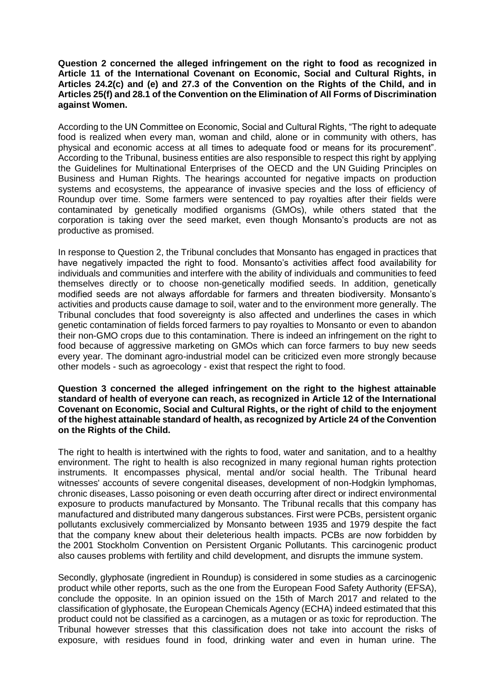#### **Question 2 concerned the alleged infringement on the right to food as recognized in Article 11 of the International Covenant on Economic, Social and Cultural Rights, in Articles 24.2(c) and (e) and 27.3 of the Convention on the Rights of the Child, and in Articles 25(f) and 28.1 of the Convention on the Elimination of All Forms of Discrimination against Women.**

According to the UN Committee on Economic, Social and Cultural Rights, "The right to adequate food is realized when every man, woman and child, alone or in community with others, has physical and economic access at all times to adequate food or means for its procurement". According to the Tribunal, business entities are also responsible to respect this right by applying the Guidelines for Multinational Enterprises of the OECD and the UN Guiding Principles on Business and Human Rights. The hearings accounted for negative impacts on production systems and ecosystems, the appearance of invasive species and the loss of efficiency of Roundup over time. Some farmers were sentenced to pay royalties after their fields were contaminated by genetically modified organisms (GMOs), while others stated that the corporation is taking over the seed market, even though Monsanto's products are not as productive as promised.

In response to Question 2, the Tribunal concludes that Monsanto has engaged in practices that have negatively impacted the right to food. Monsanto's activities affect food availability for individuals and communities and interfere with the ability of individuals and communities to feed themselves directly or to choose non-genetically modified seeds. In addition, genetically modified seeds are not always affordable for farmers and threaten biodiversity. Monsanto's activities and products cause damage to soil, water and to the environment more generally. The Tribunal concludes that food sovereignty is also affected and underlines the cases in which genetic contamination of fields forced farmers to pay royalties to Monsanto or even to abandon their non-GMO crops due to this contamination. There is indeed an infringement on the right to food because of aggressive marketing on GMOs which can force farmers to buy new seeds every year. The dominant agro-industrial model can be criticized even more strongly because other models - such as agroecology - exist that respect the right to food.

**Question 3 concerned the alleged infringement on the right to the highest attainable standard of health of everyone can reach, as recognized in Article 12 of the International Covenant on Economic, Social and Cultural Rights, or the right of child to the enjoyment of the highest attainable standard of health, as recognized by Article 24 of the Convention on the Rights of the Child.**

The right to health is intertwined with the rights to food, water and sanitation, and to a healthy environment. The right to health is also recognized in many regional human rights protection instruments. It encompasses physical, mental and/or social health. The Tribunal heard witnesses' accounts of severe congenital diseases, development of non-Hodgkin lymphomas, chronic diseases, Lasso poisoning or even death occurring after direct or indirect environmental exposure to products manufactured by Monsanto. The Tribunal recalls that this company has manufactured and distributed many dangerous substances. First were PCBs, persistent organic pollutants exclusively commercialized by Monsanto between 1935 and 1979 despite the fact that the company knew about their deleterious health impacts. PCBs are now forbidden by the 2001 Stockholm Convention on Persistent Organic Pollutants. This carcinogenic product also causes problems with fertility and child development, and disrupts the immune system.

Secondly, glyphosate (ingredient in Roundup) is considered in some studies as a carcinogenic product while other reports, such as the one from the European Food Safety Authority (EFSA), conclude the opposite. In an opinion issued on the 15th of March 2017 and related to the classification of glyphosate, the European Chemicals Agency (ECHA) indeed estimated that this product could not be classified as a carcinogen, as a mutagen or as toxic for reproduction. The Tribunal however stresses that this classification does not take into account the risks of exposure, with residues found in food, drinking water and even in human urine. The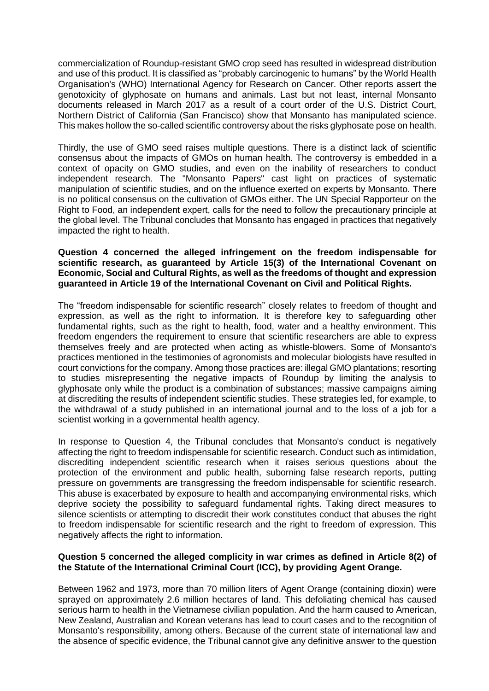commercialization of Roundup-resistant GMO crop seed has resulted in widespread distribution and use of this product. It is classified as "probably carcinogenic to humans" by the World Health Organisation's (WHO) International Agency for Research on Cancer. Other reports assert the genotoxicity of glyphosate on humans and animals. Last but not least, internal Monsanto documents released in March 2017 as a result of a court order of the U.S. District Court, Northern District of California (San Francisco) show that Monsanto has manipulated science. This makes hollow the so-called scientific controversy about the risks glyphosate pose on health.

Thirdly, the use of GMO seed raises multiple questions. There is a distinct lack of scientific consensus about the impacts of GMOs on human health. The controversy is embedded in a context of opacity on GMO studies, and even on the inability of researchers to conduct independent research. The "Monsanto Papers" cast light on practices of systematic manipulation of scientific studies, and on the influence exerted on experts by Monsanto. There is no political consensus on the cultivation of GMOs either. The UN Special Rapporteur on the Right to Food, an independent expert, calls for the need to follow the precautionary principle at the global level. The Tribunal concludes that Monsanto has engaged in practices that negatively impacted the right to health.

### **Question 4 concerned the alleged infringement on the freedom indispensable for scientific research, as guaranteed by Article 15(3) of the International Covenant on Economic, Social and Cultural Rights, as well as the freedoms of thought and expression guaranteed in Article 19 of the International Covenant on Civil and Political Rights.**

The "freedom indispensable for scientific research" closely relates to freedom of thought and expression, as well as the right to information. It is therefore key to safeguarding other fundamental rights, such as the right to health, food, water and a healthy environment. This freedom engenders the requirement to ensure that scientific researchers are able to express themselves freely and are protected when acting as whistle-blowers. Some of Monsanto's practices mentioned in the testimonies of agronomists and molecular biologists have resulted in court convictions for the company. Among those practices are: illegal GMO plantations; resorting to studies misrepresenting the negative impacts of Roundup by limiting the analysis to glyphosate only while the product is a combination of substances; massive campaigns aiming at discrediting the results of independent scientific studies. These strategies led, for example, to the withdrawal of a study published in an international journal and to the loss of a job for a scientist working in a governmental health agency.

In response to Question 4, the Tribunal concludes that Monsanto's conduct is negatively affecting the right to freedom indispensable for scientific research. Conduct such as intimidation, discrediting independent scientific research when it raises serious questions about the protection of the environment and public health, suborning false research reports, putting pressure on governments are transgressing the freedom indispensable for scientific research. This abuse is exacerbated by exposure to health and accompanying environmental risks, which deprive society the possibility to safeguard fundamental rights. Taking direct measures to silence scientists or attempting to discredit their work constitutes conduct that abuses the right to freedom indispensable for scientific research and the right to freedom of expression. This negatively affects the right to information.

### **Question 5 concerned the alleged complicity in war crimes as defined in Article 8(2) of the Statute of the International Criminal Court (ICC), by providing Agent Orange.**

Between 1962 and 1973, more than 70 million liters of Agent Orange (containing dioxin) were sprayed on approximately 2.6 million hectares of land. This defoliating chemical has caused serious harm to health in the Vietnamese civilian population. And the harm caused to American, New Zealand, Australian and Korean veterans has lead to court cases and to the recognition of Monsanto's responsibility, among others. Because of the current state of international law and the absence of specific evidence, the Tribunal cannot give any definitive answer to the question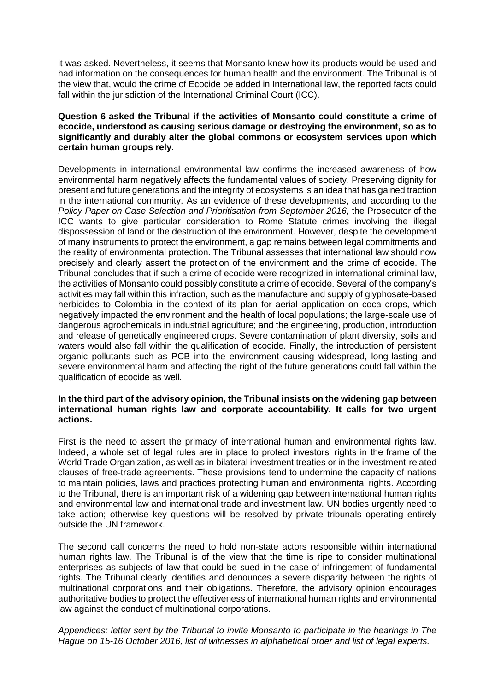it was asked. Nevertheless, it seems that Monsanto knew how its products would be used and had information on the consequences for human health and the environment. The Tribunal is of the view that, would the crime of Ecocide be added in International law, the reported facts could fall within the jurisdiction of the International Criminal Court (ICC).

### **Question 6 asked the Tribunal if the activities of Monsanto could constitute a crime of ecocide, understood as causing serious damage or destroying the environment, so as to significantly and durably alter the global commons or ecosystem services upon which certain human groups rely.**

Developments in international environmental law confirms the increased awareness of how environmental harm negatively affects the fundamental values of society. Preserving dignity for present and future generations and the integrity of ecosystems is an idea that has gained traction in the international community. As an evidence of these developments, and according to the Policy Paper on Case Selection and Prioritisation from September 2016, the Prosecutor of the ICC wants to give particular consideration to Rome Statute crimes involving the illegal dispossession of land or the destruction of the environment. However, despite the development of many instruments to protect the environment, a gap remains between legal commitments and the reality of environmental protection. The Tribunal assesses that international law should now precisely and clearly assert the protection of the environment and the crime of ecocide. The Tribunal concludes that if such a crime of ecocide were recognized in international criminal law, the activities of Monsanto could possibly constitute a crime of ecocide. Several of the company's activities may fall within this infraction, such as the manufacture and supply of glyphosate-based herbicides to Colombia in the context of its plan for aerial application on coca crops, which negatively impacted the environment and the health of local populations; the large-scale use of dangerous agrochemicals in industrial agriculture; and the engineering, production, introduction and release of genetically engineered crops. Severe contamination of plant diversity, soils and waters would also fall within the qualification of ecocide. Finally, the introduction of persistent organic pollutants such as PCB into the environment causing widespread, long-lasting and severe environmental harm and affecting the right of the future generations could fall within the qualification of ecocide as well.

#### **In the third part of the advisory opinion, the Tribunal insists on the widening gap between international human rights law and corporate accountability. It calls for two urgent actions.**

First is the need to assert the primacy of international human and environmental rights law. Indeed, a whole set of legal rules are in place to protect investors' rights in the frame of the World Trade Organization, as well as in bilateral investment treaties or in the investment-related clauses of free-trade agreements. These provisions tend to undermine the capacity of nations to maintain policies, laws and practices protecting human and environmental rights. According to the Tribunal, there is an important risk of a widening gap between international human rights and environmental law and international trade and investment law. UN bodies urgently need to take action; otherwise key questions will be resolved by private tribunals operating entirely outside the UN framework.

The second call concerns the need to hold non-state actors responsible within international human rights law. The Tribunal is of the view that the time is ripe to consider multinational enterprises as subjects of law that could be sued in the case of infringement of fundamental rights. The Tribunal clearly identifies and denounces a severe disparity between the rights of multinational corporations and their obligations. Therefore, the advisory opinion encourages authoritative bodies to protect the effectiveness of international human rights and environmental law against the conduct of multinational corporations.

*Appendices: letter sent by the Tribunal to invite Monsanto to participate in the hearings in The Hague on 15-16 October 2016, list of witnesses in alphabetical order and list of legal experts.*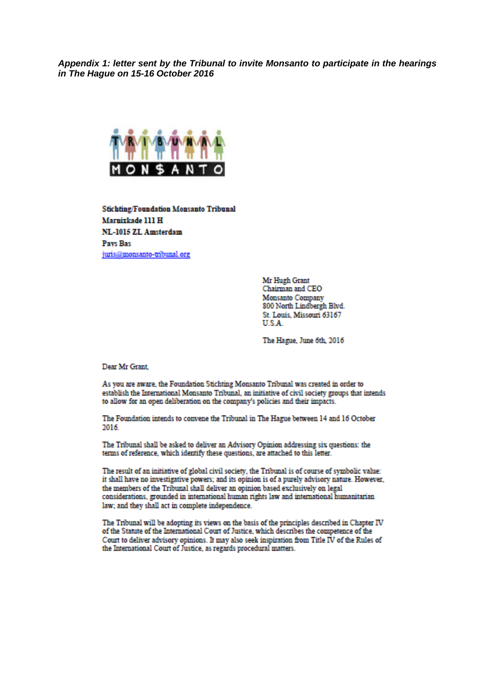Appendix 1: letter sent by the Tribunal to invite Monsanto to participate in the hearings in The Haque on 15-16 October 2016



**Stichting/Foundation Monsanto Tribunal** Marnixkade 111 H NL-1015 ZL Amsterdam **Pays Bas** juris@monsanto-tribunal.org

> Mr Hugh Grant Chairman and CEO Monsanto Company 800 North Lindbergh Blvd. St. Louis, Missouri 63167 **U.S.A**

> The Hague, June 6th, 2016

Dear Mr Grant

As you are aware, the Foundation Stichting Monsanto Tribunal was created in order to establish the International Monsanto Tribunal, an initiative of civil society groups that intends to allow for an open deliberation on the company's policies and their impacts.

The Foundation intends to convene the Tribunal in The Hague between 14 and 16 October 2016.

The Tribunal shall be asked to deliver an Advisory Opinion addressing six questions: the terms of reference, which identify these questions, are attached to this letter.

The result of an initiative of global civil society, the Tribunal is of course of symbolic value: it shall have no investigative powers; and its opinion is of a purely advisory nature. However, the members of the Tribunal shall deliver an opinion based exclusively on legal considerations, grounded in international human rights law and international humanitarian law; and they shall act in complete independence.

The Tribunal will be adopting its views on the basis of the principles described in Chapter IV of the Statute of the International Court of Justice, which describes the competence of the Court to deliver advisory opinions. It may also seek inspiration from Title IV of the Rules of the International Court of Justice, as regards procedural matters.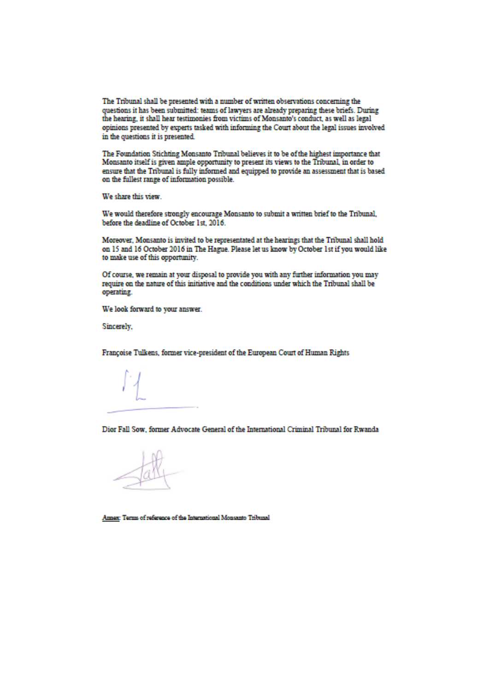The Tribunal shall be presented with a number of written observations concerning the questions it has been submitted: teams of lawyers are already preparing these briefs. During the hearing, it shall hear testimonies from victims of Monsanto's conduct, as well as legal opinions presented by experts tasked with informing the Court about the legal issues involved in the questions it is presented.

The Foundation Stichting Monsanto Tribunal believes it to be of the highest importance that Monsanto itself is given ample opportunity to present its views to the Tribunal, in order to ensure that the Tribunal is fully informed and equipped to provide an assessment that is based on the fullest range of information possible.

We share this view.

We would therefore strongly encourage Monsanto to submit a written brief to the Tribunal, before the deadline of October 1st. 2016.

Moreover, Monsanto is invited to be representated at the hearings that the Tribunal shall hold on 15 and 16 October 2016 in The Hague. Please let us know by October 1st if you would like to make use of this opportunity.

Of course, we remain at your disposal to provide you with any further information you may require on the nature of this initiative and the conditions under which the Tribunal shall be operating.

We look forward to your answer.

Sincerely,

Françoise Tulkens, former vice-president of the European Court of Human Rights

Dior Fall Sow, former Advocate General of the International Criminal Tribunal for Rwanda

Annex: Terms of reference of the International Monsanto Tribunal